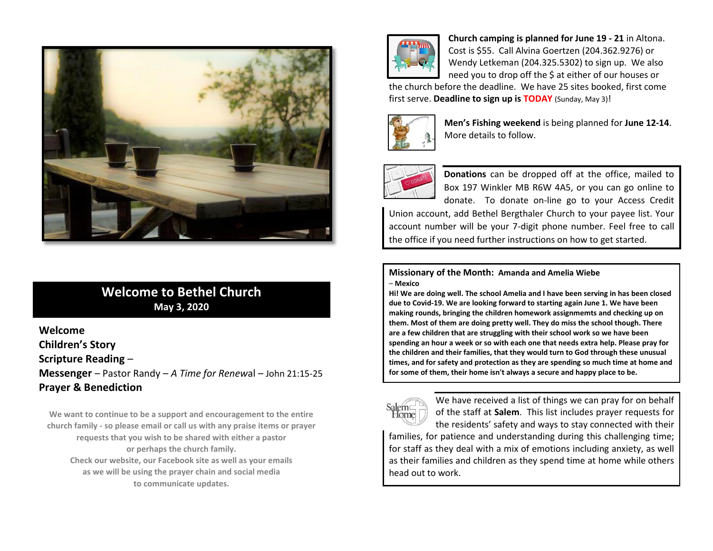

## **Welcome to Bethel Church May 3, 2020**

**Welcome**

**Children's Story**

**Scripture Reading** –

**Messenger** – Pastor Randy – *A Time for Renew*al – John 21:15-25 **Prayer & Benediction**

**We want to continue to be a support and encouragement to the entire church family - so please email or call us with any praise items or prayer requests that you wish to be shared with either a pastor or perhaps the church family. Check our website, our Facebook site as well as your emails as we will be using the prayer chain and social media to communicate updates.**



**Church camping is planned for June 19 - 21** in Altona. Cost is \$55. Call Alvina Goertzen (204.362.9276) or Wendy Letkeman (204.325.5302) to sign up. We also need you to drop off the \$ at either of our houses or

the church before the deadline. We have 25 sites booked, first come first serve. **Deadline to sign up is TODAY** (Sunday, May 3)!



**Men's Fishing weekend** is being planned for **June 12-14**. More details to follow.



**Donations** can be dropped off at the office, mailed to Box 197 Winkler MB R6W 4A5, or you can go online to donate. To donate on-line go to your Access Credit

Union account, add Bethel Bergthaler Church to your payee list. Your account number will be your 7-digit phone number. Feel free to call the office if you need further instructions on how to get started.

**Missionary of the Month: Amanda and Amelia Wiebe** – **Mexico**

**Hi! We are doing well. The school Amelia and I have been serving in has been closed due to Covid-19. We are looking forward to starting again June 1. We have been making rounds, bringing the children homework assignmemts and checking up on them. Most of them are doing pretty well. They do miss the school though. There are a few children that are struggling with their school work so we have been spending an hour a week or so with each one that needs extra help. Please pray for the children and their families, that they would turn to God through these unusual times, and for safety and protection as they are spending so much time at home and for some of them, their home isn't always a secure and happy place to be.**



We have received a list of things we can pray for on behalf of the staff at **Salem**. This list includes prayer requests for the residents' safety and ways to stay connected with their

families, for patience and understanding during this challenging time; for staff as they deal with a mix of emotions including anxiety, as well as their families and children as they spend time at home while others head out to work.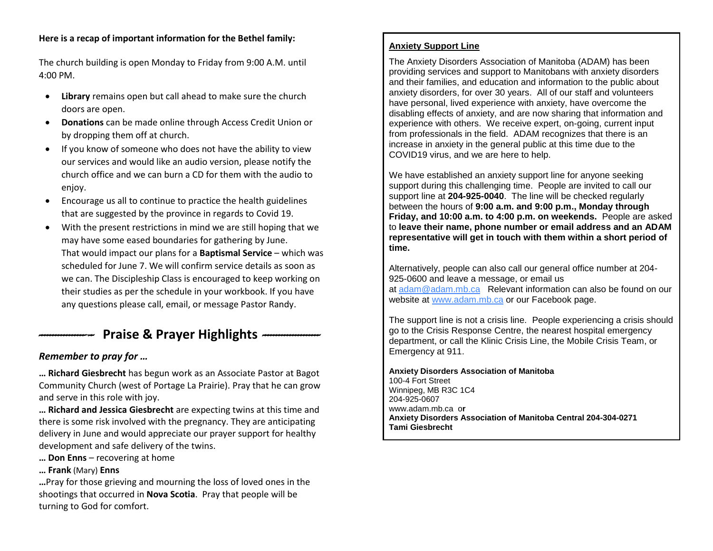#### **Here is a recap of important information for the Bethel family:**

The church building is open Monday to Friday from 9:00 A.M. until 4:00 PM.

- **Library** remains open but call ahead to make sure the church doors are open.
- **Donations** can be made online through Access Credit Union or by dropping them off at church.
- If you know of someone who does not have the ability to view our services and would like an audio version, please notify the church office and we can burn a CD for them with the audio to enjoy.
- Encourage us all to continue to practice the health guidelines that are suggested by the province in regards to Covid 19.
- With the present restrictions in mind we are still hoping that we may have some eased boundaries for gathering by June. That would impact our plans for a **Baptismal Service** – which was scheduled for June 7. We will confirm service details as soon as we can. The Discipleship Class is encouraged to keep working on their studies as per the schedule in your workbook. If you have any questions please call, email, or message Pastor Randy.

# *--------------------* **Praise & Prayer Highlights** *---------------------*

### *Remember to pray for …*

**… Richard Giesbrecht** has begun work as an Associate Pastor at Bagot Community Church (west of Portage La Prairie). Pray that he can grow and serve in this role with joy.

**… Richard and Jessica Giesbrecht** are expecting twins at this time and there is some risk involved with the pregnancy. They are anticipating delivery in June and would appreciate our prayer support for healthy development and safe delivery of the twins.

- **… Don Enns** recovering at home
- **… Frank** (Mary) **Enns**

**…**Pray for those grieving and mourning the loss of loved ones in the shootings that occurred in **Nova Scotia**. Pray that people will be turning to God for comfort.

#### **Anxiety Support Line**

The Anxiety Disorders Association of Manitoba (ADAM) has been providing services and support to Manitobans with anxiety disorders and their families, and education and information to the public about anxiety disorders, for over 30 years. All of our staff and volunteers have personal, lived experience with anxiety, have overcome the disabling effects of anxiety, and are now sharing that information and experience with others. We receive expert, on-going, current input from professionals in the field. ADAM recognizes that there is an increase in anxiety in the general public at this time due to the COVID19 virus, and we are here to help.

We have established an anxiety support line for anyone seeking support during this challenging time. People are invited to call our support line at **204-925-0040**. The line will be checked regularly between the hours of **9:00 a.m. and 9:00 p.m., Monday through Friday, and 10:00 a.m. to 4:00 p.m. on weekends.** People are asked to **leave their name, phone number or email address and an ADAM representative will get in touch with them within a short period of time.**

Alternatively, people can also call our general office number at 204- 925-0600 and leave a message, or email us at [adam@adam.mb.ca](mailto:adam@adam.mb.ca) Relevant information can also be found on our website at [www.adam.mb.ca](http://www.adam.mb.ca/) or our Facebook page.

The support line is not a crisis line. People experiencing a crisis should go to the Crisis Response Centre, the nearest hospital emergency department, or call the Klinic Crisis Line, the Mobile Crisis Team, or Emergency at 911.

#### **Anxiety Disorders Association of Manitoba**

[100-4 Fort Street](https://maps.google.com/?q=100-4+Fort+Street+Winnipeg,+MB+R3C+1C4+204&entry=gmail&source=g) [Winnipeg, MB R3C 1C4](https://maps.google.com/?q=100-4+Fort+Street+Winnipeg,+MB+R3C+1C4+204&entry=gmail&source=g) [204-](https://maps.google.com/?q=100-4+Fort+Street+Winnipeg,+MB+R3C+1C4+204&entry=gmail&source=g)925-0607 [www.adam.mb.ca](http://www.adam.mb.ca/) o**r Anxiety Disorders Association of Manitoba Central 204-304-0271 Tami Giesbrecht**